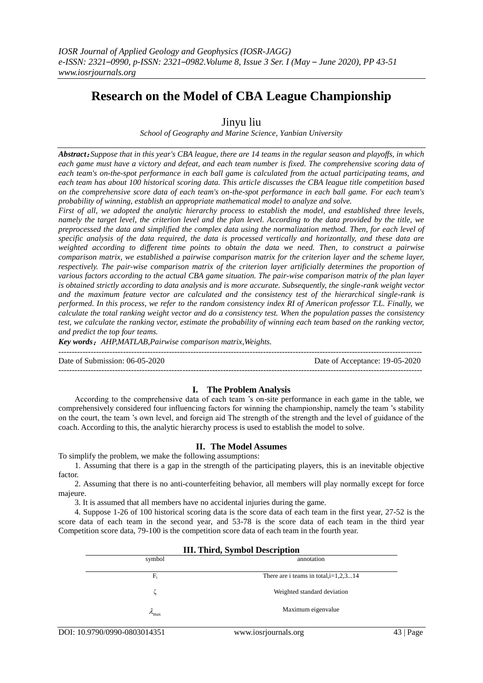# **Research on the Model of CBA League Championship**

## Jinyu liu

*School of Geography and Marine Science, Yanbian University*

*Abstract*:*Suppose that in this year's CBA league, there are 14 teams in the regular season and playoffs, in which each game must have a victory and defeat, and each team number is fixed. The comprehensive scoring data of each team's on-the-spot performance in each ball game is calculated from the actual participating teams, and each team has about 100 historical scoring data. This article discusses the CBA league title competition based on the comprehensive score data of each team's on-the-spot performance in each ball game. For each team's probability of winning, establish an appropriate mathematical model to analyze and solve.*

*First of all, we adopted the analytic hierarchy process to establish the model, and established three levels, namely the target level, the criterion level and the plan level. According to the data provided by the title, we preprocessed the data and simplified the complex data using the normalization method. Then, for each level of specific analysis of the data required, the data is processed vertically and horizontally, and these data are weighted according to different time points to obtain the data we need. Then, to construct a pairwise comparison matrix, we established a pairwise comparison matrix for the criterion layer and the scheme layer, respectively. The pair-wise comparison matrix of the criterion layer artificially determines the proportion of various factors according to the actual CBA game situation. The pair-wise comparison matrix of the plan layer is obtained strictly according to data analysis and is more accurate. Subsequently, the single-rank weight vector and the maximum feature vector are calculated and the consistency test of the hierarchical single-rank is performed. In this process, we refer to the random consistency index RI of American professor T.L. Finally, we calculate the total ranking weight vector and do a consistency test. When the population passes the consistency test, we calculate the ranking vector, estimate the probability of winning each team based on the ranking vector, and predict the top four teams.*

*Key words*:*AHP,MATLAB,Pairwise comparison matrix,Weights.*

Date of Submission: 06-05-2020 Date of Acceptance: 19-05-2020 ---------------------------------------------------------------------------------------------------------------------------------------

### **I. The Problem Analysis**

---------------------------------------------------------------------------------------------------------------------------------------

According to the comprehensive data of each team 's on-site performance in each game in the table, we comprehensively considered four influencing factors for winning the championship, namely the team 's stability on the court, the team 's own level, and foreign aid The strength of the strength and the level of guidance of the coach. According to this, the analytic hierarchy process is used to establish the model to solve.

### **II. The Model Assumes**

To simplify the problem, we make the following assumptions:

1. Assuming that there is a gap in the strength of the participating players, this is an inevitable objective factor.

2. Assuming that there is no anti-counterfeiting behavior, all members will play normally except for force majeure.

3. It is assumed that all members have no accidental injuries during the game.

4. Suppose 1-26 of 100 historical scoring data is the score data of each team in the first year, 27-52 is the score data of each team in the second year, and 53-78 is the score data of each team in the third year Competition score data, 79-100 is the competition score data of each team in the fourth year.

| <b>III. Third, Symbol Description</b> |                                         |  |  |  |  |  |  |  |
|---------------------------------------|-----------------------------------------|--|--|--|--|--|--|--|
| symbol                                | annotation                              |  |  |  |  |  |  |  |
| $F_i$                                 | There are i teams in total, $i=1,2,314$ |  |  |  |  |  |  |  |
|                                       | Weighted standard deviation             |  |  |  |  |  |  |  |
| $\mu_{\rm max}$                       | Maximum eigenvalue                      |  |  |  |  |  |  |  |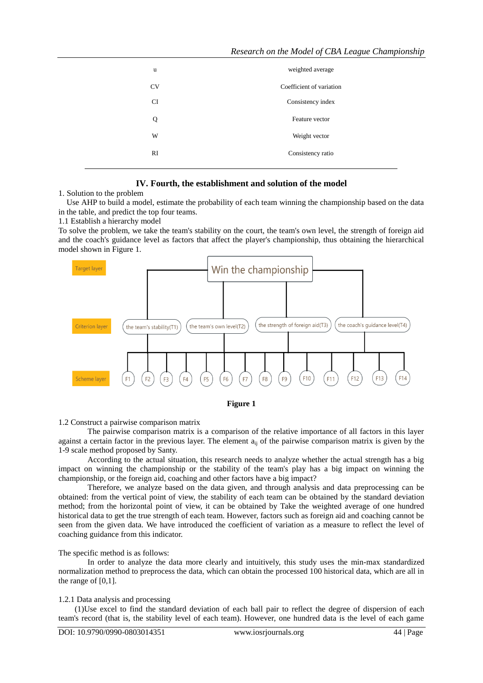| u         | weighted average         |
|-----------|--------------------------|
| <b>CV</b> | Coefficient of variation |
| <b>CI</b> | Consistency index        |
| Q         | Feature vector           |
| W         | Weight vector            |
| RI        | Consistency ratio        |
|           |                          |

### **IV. Fourth, the establishment and solution of the model**

1. Solution to the problem

 Use AHP to build a model, estimate the probability of each team winning the championship based on the data in the table, and predict the top four teams.

1.1 Establish a hierarchy model

To solve the problem, we take the team's stability on the court, the team's own level, the strength of foreign aid and the coach's guidance level as factors that affect the player's championship, thus obtaining the hierarchical model shown in Figure 1.





#### 1.2 Construct a pairwise comparison matrix

The pairwise comparison matrix is a comparison of the relative importance of all factors in this layer against a certain factor in the previous layer. The element  $a_{ii}$  of the pairwise comparison matrix is given by the 1-9 scale method proposed by Santy.

According to the actual situation, this research needs to analyze whether the actual strength has a big impact on winning the championship or the stability of the team's play has a big impact on winning the championship, or the foreign aid, coaching and other factors have a big impact?

Therefore, we analyze based on the data given, and through analysis and data preprocessing can be obtained: from the vertical point of view, the stability of each team can be obtained by the standard deviation method; from the horizontal point of view, it can be obtained by Take the weighted average of one hundred historical data to get the true strength of each team. However, factors such as foreign aid and coaching cannot be seen from the given data. We have introduced the coefficient of variation as a measure to reflect the level of coaching guidance from this indicator.

#### The specific method is as follows:

In order to analyze the data more clearly and intuitively, this study uses the min-max standardized normalization method to preprocess the data, which can obtain the processed 100 historical data, which are all in the range of [0,1].

#### 1.2.1 Data analysis and processing

(1)Use excel to find the standard deviation of each ball pair to reflect the degree of dispersion of each team's record (that is, the stability level of each team). However, one hundred data is the level of each game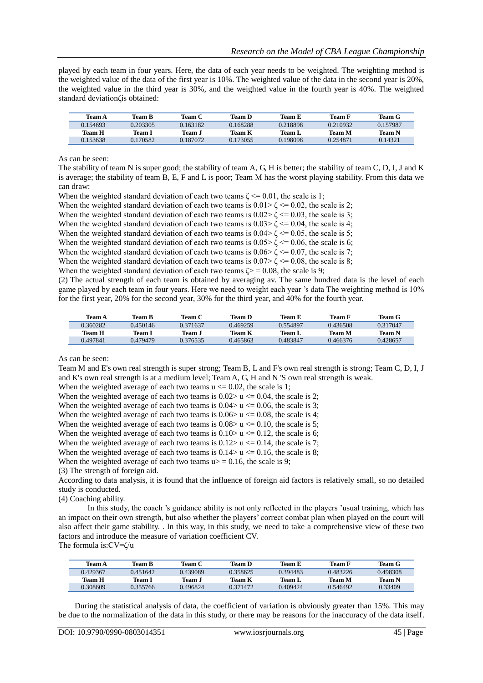played by each team in four years. Here, the data of each year needs to be weighted. The weighting method is the weighted value of the data of the first year is 10%. The weighted value of the data in the second year is 20%, the weighted value in the third year is 30%, and the weighted value in the fourth year is 40%. The weighted standard deviationζis obtained:

| Team A   | <b>Team B</b> | Team C  | Team D   | Team E   | Team F        | Team G   |
|----------|---------------|---------|----------|----------|---------------|----------|
| 0.154693 | 0.203305      | .163182 | 0.168288 | 0.218898 | 0.210932      | 0.157987 |
| Team H   | Team 1        | Team J  | Team K   | Team L   | <b>Team M</b> | Team N   |
| 0.153638 | 0.170582      | .187072 | 0.173055 | 0.198098 | 0.254871      | 0.14321  |

As can be seen:

The stability of team N is super good; the stability of team A, G, H is better; the stability of team C, D, I, J and K is average; the stability of team B, E, F and L is poor; Team M has the worst playing stability. From this data we can draw:

When the weighted standard deviation of each two teams  $\zeta \le 0.01$ , the scale is 1;

When the weighted standard deviation of each two teams is  $0.01 > \zeta \le 0.02$ , the scale is 2;

When the weighted standard deviation of each two teams is  $0.02 \times \zeta \le 0.03$ , the scale is 3;

When the weighted standard deviation of each two teams is  $0.03 \ge \zeta \le 0.04$ , the scale is 4;

When the weighted standard deviation of each two teams is  $0.04 \ge \zeta \le 0.05$ , the scale is 5;

When the weighted standard deviation of each two teams is  $0.05 \ge \zeta \le 0.06$ , the scale is 6;

When the weighted standard deviation of each two teams is  $0.06 \leq \leq 0.07$ , the scale is 7;

When the weighted standard deviation of each two teams is  $0.07 \times \zeta \le 0.08$ , the scale is 8;

When the weighted standard deviation of each two teams  $\zeta$  = 0.08, the scale is 9;

(2) The actual strength of each team is obtained by averaging av. The same hundred data is the level of each game played by each team in four years. Here we need to weight each year 's data The weighting method is 10% for the first year, 20% for the second year, 30% for the third year, and 40% for the fourth year.

| Team A   | Team B   | Team C        | Team D   | Team E   | Team F        | Team G   |
|----------|----------|---------------|----------|----------|---------------|----------|
| 0.360282 | 0.450146 | 0.371637      | 0.469259 | 0.554897 | 0.436508      | 0.317047 |
| Team H   | Team I   | <b>Team J</b> | Team K   | Team L   | <b>Team M</b> | Team N   |
| 0.497841 | 0.479479 | 0.376535      | 0.465863 | 0 483847 | 0.466376      | 0.428657 |

As can be seen:

Team M and E's own real strength is super strong; Team B, L and F's own real strength is strong; Team C, D, I, J and K's own real strength is at a medium level; Team A, G, H and N 'S own real strength is weak.

When the weighted average of each two teams  $u \le 0.02$ , the scale is 1;

When the weighted average of each two teams is  $0.02 > u \le 0.04$ , the scale is 2;

When the weighted average of each two teams is  $0.04 > u \le 0.06$ , the scale is 3;

When the weighted average of each two teams is  $0.06 > u \le 0.08$ , the scale is 4;

When the weighted average of each two teams is  $0.08 > u \le 0.10$ , the scale is 5;

When the weighted average of each two teams is  $0.10 > u \le 0.12$ , the scale is 6;

When the weighted average of each two teams is  $0.12 > u \le 0.14$ , the scale is 7;

When the weighted average of each two teams is  $0.14 > u \le 0.16$ , the scale is 8;

When the weighted average of each two teams  $u$  = 0.16, the scale is 9;

(3) The strength of foreign aid.

According to data analysis, it is found that the influence of foreign aid factors is relatively small, so no detailed study is conducted.

(4) Coaching ability.

In this study, the coach 's guidance ability is not only reflected in the players 'usual training, which has an impact on their own strength, but also whether the players' correct combat plan when played on the court will also affect their game stability. . In this way, in this study, we need to take a comprehensive view of these two factors and introduce the measure of variation coefficient CV. The formula is:CV=ζ/u

| <b>Team A</b> | <b>Team B</b> | Team C        | Team D   | Team E        | Team F   | Team G        |
|---------------|---------------|---------------|----------|---------------|----------|---------------|
| 0.429367      | 0.451642      | 0.439089      | 0.358625 | 0.394483      | 0.483226 | 0.498308      |
| <b>Team H</b> | Team 1        | <b>Team J</b> | Team K   | <b>Team L</b> | Team M   | <b>Team N</b> |

During the statistical analysis of data, the coefficient of variation is obviously greater than 15%. This may be due to the normalization of the data in this study, or there may be reasons for the inaccuracy of the data itself.

0.308609 0.355766 0.496824 0.371472 0.409424 0.546492 0.33409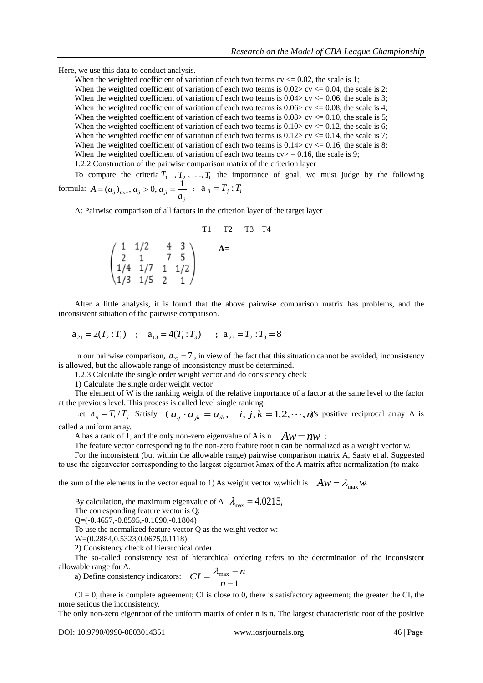Here, we use this data to conduct analysis.

When the weighted coefficient of variation of each two teams  $cv \le 0.02$ , the scale is 1; When the weighted coefficient of variation of each two teams is  $0.02 > cv \le 0.04$ , the scale is 2; When the weighted coefficient of variation of each two teams is  $0.04 > c$  cv  $\langle 0.06 \rangle$ , the scale is 3; When the weighted coefficient of variation of each two teams is  $0.06 > cv \le 0.08$ , the scale is 4; When the weighted coefficient of variation of each two teams is  $0.08 > cv \le 0.10$ , the scale is 5; When the weighted coefficient of variation of each two teams is  $0.10 > c \times 0.12$ , the scale is 6; When the weighted coefficient of variation of each two teams is  $0.12 > cv \le 0.14$ , the scale is 7; When the weighted coefficient of variation of each two teams is  $0.14 > c$  cv  $\leq 0.16$ , the scale is 8; When the weighted coefficient of variation of each two teams  $cv$  = 0.16, the scale is 9;

1.2.2 Construction of the pairwise comparison matrix of the criterion layer

To compare the criteria  $T_1$ ,  $T_2$ , ...,  $T_i$  the importance of goal, we must judge by the following formula:  $A = (a_{ij})_{n \times n}, a_{ij} > 0, a_{ji} = \frac{1}{a_{ij}}$ ;  $a_{ji} = T_j : T_i$ 

formula: 
$$
A = (a_{ij})_{n \times n}
$$
,  $a_{ij} > 0$ ,  $a_{ji} = \frac{1}{a_{ij}}$ ;  $a_{ji} = T_j : T_i$ 

A: Pairwise comparison of all factors in the criterion layer of the target layer

T1 T2 T3 T4

 $\begin{pmatrix} 1 & 1/2 & 4 & 3 \\ 2 & 1 & 7 & 5 \\ 1/4 & 1/7 & 1 & 1/2 \\ 1/3 & 1/5 & 2 & 4 \end{pmatrix}$  A=

After a little analysis, it is found that the above pairwise comparison matrix has problems, and the inconsistent situation of the pairwise comparison.

$$
a_{21} = 2(T_2 : T_1)
$$
;  $a_{13} = 4(T_1 : T_3)$ ;  $a_{23} = T_2 : T_3 = 8$ 

In our pairwise comparison,  $a_{23} = 7$ , in view of the fact that this situation cannot be avoided, inconsistency is allowed, but the allowable range of inconsistency must be determined.

1.2.3 Calculate the single order weight vector and do consistency check

1) Calculate the single order weight vector

The element of W is the ranking weight of the relative importance of a factor at the same level to the factor at the previous level. This process is called level single ranking.

Let  $a_{ij} = T_i / T_j$  Satisfy (  $a_{ij} \cdot a_{jk} = a_{ik}$ ,  $i, j, k = 1, 2, \dots, n$ )'s positive reciprocal array A is called a uniform array.

A has a rank of 1, and the only non-zero eigenvalue of A is n  $Aw = nw$ ;

The feature vector corresponding to the non-zero feature root n can be normalized as a weight vector w.

For the inconsistent (but within the allowable range) pairwise comparison matrix A, Saaty et al. Suggested to use the eigenvector corresponding to the largest eigenroot λmax of the A matrix after normalization (to make

the sum of the elements in the vector equal to 1) As weight vector w, which is  $A w = \lambda_{\text{max}} w$ .

By calculation, the maximum eigenvalue of A  $\lambda_{\text{max}} = 4.0215$ ,

The corresponding feature vector is Q:

Q=(-0.4657,-0.8595,-0.1090,-0.1804)

To use the normalized feature vector Q as the weight vector w:

W=(0.2884,0.5323,0.0675,0.1118)

2) Consistency check of hierarchical order

The so-called consistency test of hierarchical ordering refers to the determination of the inconsistent allowable range for A.

a) Define consistency indicators:  $CI = \frac{\lambda_{\text{max}}}{\lambda_{\text{max}}}$ 1  $CI = \frac{\lambda_{\text{max}} - n}{1}$ *n*  $=\frac{\lambda_{\max}-\lambda_{\max}}{\lambda_{\max}-\lambda_{\max}}$  $\overline{a}$ 

 $CI = 0$ , there is complete agreement; CI is close to 0, there is satisfactory agreement; the greater the CI, the more serious the inconsistency.

The only non-zero eigenroot of the uniform matrix of order n is n. The largest characteristic root of the positive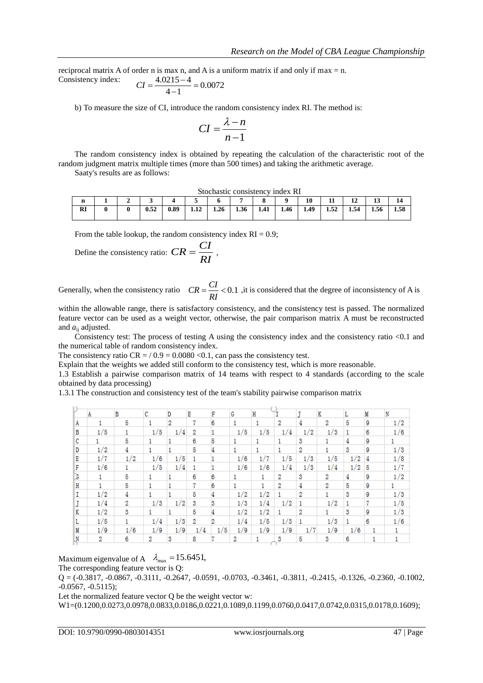reciprocal matrix A of order n is max n, and A is a uniform matrix if and only if max = n.<br>Consistency index:  $CI = \frac{4.0215 - 4}{1.4 \times 10^{12}} = 0.0072$ Consistency index:  $CI = \frac{4.0215 - 4}{4.1} = 0.0$ 

$$
CI = \frac{4.6215}{4 - 1} = 0.0072
$$

b) To measure the size of CI, introduce the random consistency index RI. The method is:

$$
CI = \frac{\lambda - n}{n - 1}
$$

The random consistency index is obtained by repeating the calculation of the characteristic root of the random judgment matrix multiple times (more than 500 times) and taking the arithmetic average. Saaty's results are as follows:

Stochastic consistency index RI

|           |  |      |      | 1000110001000110100110001 | 1114971111 |      |      |      |      |      |         |      |      |
|-----------|--|------|------|---------------------------|------------|------|------|------|------|------|---------|------|------|
| п.        |  |      |      |                           |            |      |      |      | 10   |      | 10<br>ᅩ | ∸    | 14   |
| <b>RI</b> |  | 0.52 | 0.89 | $\mathbf{A}$<br>1.14      | 1.26       | 1.36 | 1.41 | 1.46 | 1.49 | 1.52 | 1.54    | 1.56 | 1.58 |

From the table lookup, the random consistency index  $RI = 0.9$ ;

Define the consistency ratio: 
$$
CR = \frac{CI}{RI}
$$
,

Generally, when the consistency ratio  $CR = \frac{CI}{C} < 0.1$  , it is considered that the degree of inconsistency of A is *RI*  $=\frac{C_{1}}{C_{2}}<0$ 

within the allowable range, there is satisfactory consistency, and the consistency test is passed. The normalized feature vector can be used as a weight vector, otherwise, the pair comparison matrix A must be reconstructed and  $a_{ii}$  adjusted.

Consistency test: The process of testing A using the consistency index and the consistency ratio <0.1 and the numerical table of random consistency index.

The consistency ratio  $CR = / 0.9 = 0.0080 < 0.1$ , can pass the consistency test.

Explain that the weights we added still conform to the consistency test, which is more reasonable.

1.3 Establish a pairwise comparison matrix of 14 teams with respect to 4 standards (according to the scale obtained by data processing)

1.3.1 The construction and consistency test of the team's stability pairwise comparison matrix

|   | А   | B   | c   | D   | Е   | F   | G   | Н   |     |     | Κ   |     | M | N   |
|---|-----|-----|-----|-----|-----|-----|-----|-----|-----|-----|-----|-----|---|-----|
| Α |     | 5   |     | 2   | 7   | 6   | 1   |     | 2   | 4   | 2   | 5   | 9 | 1/2 |
| В | 1/5 |     | 1/5 | 1/4 | 2   |     | 1/5 | 1/5 | 1/4 | 1/2 | 1/3 |     | 6 | 1/6 |
| с |     | 5   |     |     | 6   | 5   |     |     |     | 3   |     | 4   | 9 |     |
| D | 1/2 | 4   |     |     | 5   |     | 1.  | 1.  |     | 2   |     | 3   | 9 | 1/3 |
| Е | 1/7 | 1/2 | 1/6 | 1/5 |     |     | 1/6 | 1/7 | 1/5 | 1/3 | 1/5 | 1/2 | 4 | 1/8 |
| F | 1/6 |     | 1/5 | 1/4 |     |     | 1/6 | 1/6 | 1/4 | 1/3 | 1/4 | 1/2 | 5 | 1/7 |
| B |     | 5   |     |     | 6   | 6   |     | 1.  | 2   | 3   | 2   | 4   | 9 | 1/2 |
| Н |     | 5   |     |     | 7   | 6   |     |     | 2   | 4   | 2   | 5   | 9 |     |
| 1 | 1/2 | 4   |     |     | 5   |     | 1/2 | 1/2 |     | 2   |     | 3   | 9 | 1/3 |
|   | 1/4 | 2   | 1/3 | 1/2 | 3   |     | 1/3 | 1/4 | 1/2 |     | 1/2 |     | 7 | 1/5 |
| Κ | 1/2 | 3   |     |     | 5   |     | 1/2 | 1/2 |     | 2   |     | 3   | 9 | 1/3 |
| L | 1/5 |     | 1/4 | 1/3 | 2   |     | 1/4 | 1/5 | 1/3 |     | 1/3 |     | 6 | 1/6 |
| М | 1/9 | 1/6 | 1/9 | 1/9 | 1/4 | 1/5 | 1/9 | 1/9 | 1/9 | 1/7 | 1/9 | 1/6 |   |     |
| N | 2   | 6   | 2   | 3   | 8   |     | 2   |     | 3   | 5   | 3   | 6   |   |     |

Maximum eigenvalue of A  $\lambda_{\text{max}} = 15.6451$ ,

The corresponding feature vector is Q:

 $Q = (-0.3817, -0.0867, -0.3111, -0.2647, -0.0591, -0.0703, -0.3461, -0.3811, -0.2415, -0.1326, -0.2360, -0.1002,$ -0.0567, -0.5115);

Let the normalized feature vector Q be the weight vector w:

W1=(0.1200,0.0273,0.0978,0.0833,0.0186,0.0221,0.1089,0.1199,0.0760,0.0417,0.0742,0.0315,0.0178,0.1609);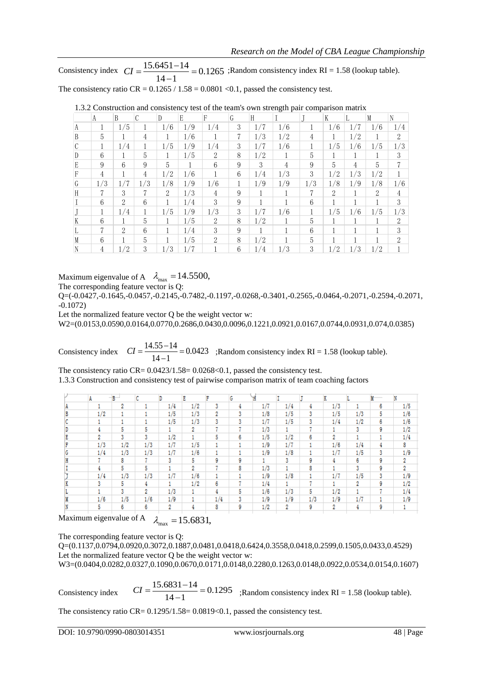Consistency index  $CI = \frac{15.6451 - 14}{14.645} = 0.1265$  ;Random consistency index RI = 1.58 (lookup table). The consistency ratio CR =  $0.1265 / 1.58 = 0.0801 < 0.1$ , passed the consistency test.  $\frac{1}{14-1}$  $CI = \frac{15.6451 - 14}{14 - 1} = 0.1$ 

|   | A     | B               | C   | D   | E   | F              | G | H   |     |     | K              |     |               | N             |
|---|-------|-----------------|-----|-----|-----|----------------|---|-----|-----|-----|----------------|-----|---------------|---------------|
| A | $\pm$ | 1/5             |     | 1/6 | 1/9 | 1/4            | 3 | 1/7 | 1/6 |     | 1/6            | 1/7 | 1/6           | 1/4           |
| B | 5     |                 | 4   |     | 1/6 |                | 7 | 1/3 | 1/2 | 4   |                | 1/2 |               | 2             |
| C |       | 1/4             |     | 1/5 | 1/9 | 1/4            | 3 | 1/7 | 1/6 |     | 1/5            | 1/6 | 1/5           | 1/3           |
| D | 6     |                 | 5   |     | 1/5 | $\mathcal{D}$  | 8 | 1/2 |     | 5   |                |     |               | 3             |
| E | 9     | $6\overline{6}$ | 9   | 5   |     | 6              | 9 | 3   | 4   | 9   | $\overline{5}$ | 4   | 5             | 7             |
| F | 4     |                 | 4   | 1/2 | 1/6 |                | 6 | 1/4 | 1/3 | 3   | 1/2            | 1/3 | 1/2           |               |
| G | 1/3   | 1/7             | 1/3 | 1/8 | 1/9 | 1/6            |   | 1/9 | 1/9 | 1/3 | 1/8            | 1/9 | 1/8           | 1/6           |
| H | 7     | 3               | 7   | 2   | 1/3 | $\overline{4}$ | 9 |     |     | 7   | $\mathcal{L}$  |     | $\mathcal{L}$ | 4             |
|   | 6     | $\mathcal{L}$   | 6   |     | 1/4 | 3              | 9 |     |     | 6   |                |     |               | 3             |
|   |       | 1/4             |     | 1/5 | 1/9 | 1/3            | 3 | 1/7 | 1/6 |     | 1/5            | 1/6 | 1/5           | 1/3           |
| K | 6     |                 | 5   |     | 1/5 | $\mathcal{D}$  | 8 | 1/2 |     | 5   |                |     |               | $\mathcal{L}$ |
|   | 7     | 2               | 6   |     | 1/4 | 3              | 9 |     |     | 6   |                |     |               | 3             |
| M | 6     |                 | 5   |     | 1/5 | $\mathcal{D}$  | 8 | 1/2 |     | 5   |                |     |               | $\mathcal{D}$ |
| N | 4     | 1/2             | 3   | 1/3 | 1/7 |                | 6 | 1/4 | 1/3 | 3   | 1/2            | 1/3 | 1/2           |               |

|  | 1.3.2 Construction and consistency test of the team's own strength pair comparison matrix |  |  |  |  |  |  |
|--|-------------------------------------------------------------------------------------------|--|--|--|--|--|--|
|  |                                                                                           |  |  |  |  |  |  |

Maximum eigenvalue of A  $\lambda_{\text{max}} = 14.5500$ ,

The corresponding feature vector is Q:

Q=(-0.0427,-0.1645,-0.0457,-0.2145,-0.7482,-0.1197,-0.0268,-0.3401,-0.2565,-0.0464,-0.2071,-0.2594,-0.2071, -0.1072)

Let the normalized feature vector Q be the weight vector w:

W2=(0.0153,0.0590,0.0164,0.0770,0.2686,0.0430,0.0096,0.1221,0.0921,0.0167,0.0744,0.0931,0.074,0.0385)

Consistency index  $CI = \frac{14.55 - 14}{14.55} = 0.0423$  ;Random consistency index RI = 1.58 (lookup table).  $\frac{1}{14-1}$  $CI = \frac{14.55 - 14}{14 - 1} = 0.0$ 

The consistency ratio  $CR = 0.0423/1.58 = 0.0268 < 0.1$ , passed the consistency test.

1.3.3 Construction and consistency test of pairwise comparison matrix of team coaching factors

|     | B   | C   | D   | Ε   | ъ   | G |     |     |     | v   |     |   | M   |
|-----|-----|-----|-----|-----|-----|---|-----|-----|-----|-----|-----|---|-----|
|     | 2   |     | 1/4 | 1/2 | 3   | 4 | 1/7 | 1/4 | 4   | 1/3 |     | 6 | 1/5 |
| 1/2 |     |     | 1/5 | 1/3 | 2   | 3 | 1/8 | 1/5 | 3   | 1/5 | 1/3 | 5 | 1/6 |
|     |     |     | 1/5 | 1/3 | 3   | 3 | 1/7 | 1/5 | 3   | 1/4 | 1/2 | 6 | 1/6 |
|     | 5   | 5   |     | 2   |     |   | 1/3 |     |     |     | 3   | 9 | 1/2 |
| 2   | 3   | 3   | 1/2 |     | 5   | 6 | 1/5 | 1/2 | 6   | 2   |     |   | 1/4 |
| 1/3 | 1/2 | 1/3 | 1/7 | 1/5 |     |   | 1/9 | 1/7 |     | 1/6 | 1/4 | 4 | 8   |
| 1/4 | 1/3 | 1/3 | 1/7 | 1/6 |     |   | 1/9 | 1/8 |     | 1/7 | 1/5 | 3 | 1/9 |
|     | 8   |     | 3   | 5   | 9   | 9 |     | 3   | 9   | 4   | 6   | 9 | 2   |
|     | 5   | 5   |     | 2   |     | 8 | 1/3 |     | 8   |     | 3   | 9 | 2   |
| 1/4 | 1/3 | 1/3 | 1/7 | 1/6 |     |   | 1/9 | 1/8 |     | 1/7 | 1/5 | 3 | 1/9 |
| 3   | 5   | 4   |     | 1/2 | 6   |   | 1/4 |     |     |     | 2   | 9 | 1/2 |
|     | 3   | 2   | 1/3 |     | 4   | 5 | 1/6 | 1/3 | 5   | 1/2 |     | ÷ | 1/4 |
| 1/6 | 1/5 | 1/6 | 1/9 |     | 1/4 | 3 | 1/9 | 1/9 | 1/3 | 1/9 | 1/7 |   | 1/9 |
| 5   | 6   | 6   | 2   | 4   | 8   | 9 | 1/2 | 2   | 9   | 2   |     | 9 |     |
|     |     |     |     |     |     |   |     |     |     |     |     |   |     |

Maximum eigenvalue of A  $\lambda_{\text{max}} = 15.6831$ ,

The corresponding feature vector is Q:

Q=(0.1137,0.0794,0.0920,0.3072,0.1887,0.0481,0.0418,0.6424,0.3558,0.0418,0.2599,0.1505,0.0433,0.4529) Let the normalized feature vector Q be the weight vector w:

W3=(0.0404,0.0282,0.0327,0.1090,0.0670,0.0171,0.0148,0.2280,0.1263,0.0148,0.0922,0.0534,0.0154,0.1607)

Consistency index  $CI = \frac{15.6831 - 14}{14 \cdot 14} = 0.1295$  ;Random consistency index RI = 1.58 (lookup table).  $CI = \frac{15.6831 - 14}{14 - 1} = 0.1$ 

The consistency ratio CR=  $0.1295/1.58=0.0819<0.1$ , passed the consistency test.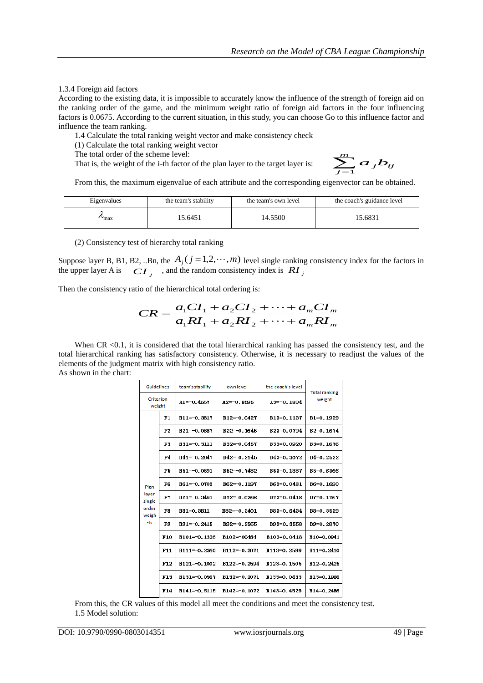#### 1.3.4 Foreign aid factors

According to the existing data, it is impossible to accurately know the influence of the strength of foreign aid on the ranking order of the game, and the minimum weight ratio of foreign aid factors in the four influencing factors is 0.0675. According to the current situation, in this study, you can choose Go to this influence factor and influence the team ranking.

1.4 Calculate the total ranking weight vector and make consistency check

(1) Calculate the total ranking weight vector

The total order of the scheme level:

That is, the weight of the i-th factor of the plan layer to the target layer is:

$$
\sum_{j=1}^m a_j b_{ij}
$$

From this, the maximum eigenvalue of each attribute and the corresponding eigenvector can be obtained.

| Eigenvalues     | the team's stability | the team's own level | the coach's guidance level |
|-----------------|----------------------|----------------------|----------------------------|
| $\mathbf{m}$ ax | 5.6451               | 14.5500              | 15.6831                    |

(2) Consistency test of hierarchy total ranking

Suppose layer B, B1, B2, ..Bn, the  $A_j$  ( $j = 1, 2, \dots, m$ ) level single ranking consistency index for the factors in the upper layer A is  $CI_j$ , and the random consistency index is  $RI_j$ 

Then the consistency ratio of the hierarchical total ordering is:

$$
CR = \frac{a_1 CI_1 + a_2 CI_2 + \dots + a_m CI_m}{a_1 RI_1 + a_2 RI_2 + \dots + a_m RI_m}
$$

When CR <0.1, it is considered that the total hierarchical ranking has passed the consistency test, and the total hierarchical ranking has satisfactory consistency. Otherwise, it is necessary to readjust the values of the elements of the judgment matrix with high consistency ratio. As shown in the chart:

| <b>Guidelines</b>   |                 | team's stability | own level        | the coach's level | <b>Total ranking</b>   |
|---------------------|-----------------|------------------|------------------|-------------------|------------------------|
| Criterion<br>weight |                 | $A1=-0.4657$     | $A2=-0.8595$     | $A3=-0.1804$      | weight                 |
|                     | F1              | $B11=-0.3817$    | $B12 = -0.0427$  | B13=0.1137        | B1=0.1939              |
|                     | F2              | $B21 = -0.0867$  | $B22 = 0.1645$   | B23=0.0794        | B <sub>2</sub> =0.1674 |
|                     | F3              | $B31 = -0.3111$  | B32=0.0457       | B33=0.0920        | B3=0.1676              |
|                     | F4              | $B41 = -0.2647$  | $B42 = -0.2145$  | B43=0.3072        | $B4=0.2522$            |
|                     | F5              | $B51 = -0.0591$  | $B52 = 0.7482$   | B53=0.1887        | B5=0.6366              |
| Plan                | F6              | $B61 = -0.0703$  | B62=0.1197       | B63=0.0481        | B6=0, 1690             |
| layer<br>single     | F7              | $B71 = -0.3461$  | $B72 = -0.0268$  | B73=0.0418        | B7=0.1767              |
| order<br>weigh      | F8              | B81=0.3811       | $B82=-0.3401$    | B83=0.6434        | B8=0.3539              |
| -ts                 | F9              | $B91 = -0.2415$  | B92=-0.2565      | B93=0.3558        | B9=0.2870              |
|                     | F10             | B101=0.1326      | B102=00464       | B103=0.0418       | B10=0.0941             |
|                     | F11             | $B111 = -0.2360$ | $B112=-0.2071$   | B113=0.2599       | B11=0.2410             |
|                     | F <sub>12</sub> | $B121 = 0.1002$  | B122=-0.2594     | B123=0.1505       | B12=0.2425             |
|                     | F13             | B131=0.0567      | $R132 = -0.2071$ | B133=0.0433       | B13=0.1966             |
|                     | F14             | $B141 = -0.5115$ | $R142 = -0.1072$ | B143=0.4529       | B14=0.2486             |

From this, the CR values of this model all meet the conditions and meet the consistency test. 1.5 Model solution: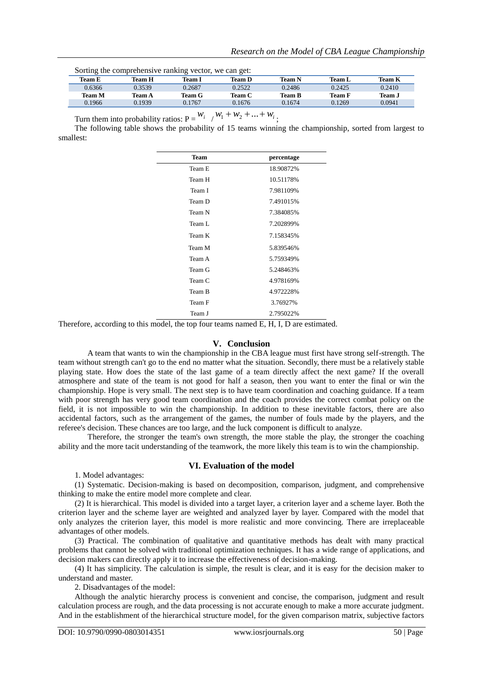| Sorting the comprehensive ranking vector, we can get. |        |               |        |        |               |               |
|-------------------------------------------------------|--------|---------------|--------|--------|---------------|---------------|
| Team E                                                | Team H | Team I        | Team D | Team N | Team L        | Team K        |
| 0.6366                                                | 0.3539 | 0.2687        | 0.2522 | 0.2486 | 0.2425        | 0.2410        |
| <b>Team M</b>                                         | Team A | <b>Team G</b> | Team C | Team B | <b>Team F</b> | <b>Team J</b> |
| 0.1966                                                | 0.1939 | 0.1767        | 0.1676 | 0.1674 | 0.1269        | 0.0941        |
|                                                       |        |               |        |        |               |               |

Sorting the comprehensive ranking vector, we can get:

j.

Turn them into probability ratios:  $P = \frac{W_i}{W_1} + \frac{W_1 + W_2 + \ldots + W_i}{W_1 + W_2 + \ldots + W_k}$ 

The following table shows the probability of 15 teams winning the championship, sorted from largest to smallest:

| <b>Team</b> | percentage |
|-------------|------------|
| Team E      | 18.90872%  |
| Team H      | 10.51178%  |
| Team I      | 7.981109%  |
| Team D      | 7.491015%  |
| Team N      | 7.384085%  |
| Team L      | 7.202899%  |
| Team K      | 7.158345%  |
| Team M      | 5.839546%  |
| Team A      | 5.759349%  |
| Team G      | 5.248463%  |
| Team C      | 4.978169%  |
| Team B      | 4.972228%  |
| Team F      | 3.76927%   |
| Team J      | 2.795022%  |

Therefore, according to this model, the top four teams named E, H, I, D are estimated.

#### **V. Conclusion**

A team that wants to win the championship in the CBA league must first have strong self-strength. The team without strength can't go to the end no matter what the situation. Secondly, there must be a relatively stable playing state. How does the state of the last game of a team directly affect the next game? If the overall atmosphere and state of the team is not good for half a season, then you want to enter the final or win the championship. Hope is very small. The next step is to have team coordination and coaching guidance. If a team with poor strength has very good team coordination and the coach provides the correct combat policy on the field, it is not impossible to win the championship. In addition to these inevitable factors, there are also accidental factors, such as the arrangement of the games, the number of fouls made by the players, and the referee's decision. These chances are too large, and the luck component is difficult to analyze.

Therefore, the stronger the team's own strength, the more stable the play, the stronger the coaching ability and the more tacit understanding of the teamwork, the more likely this team is to win the championship.

#### **VI. Evaluation of the model**

1. Model advantages:

(1) Systematic. Decision-making is based on decomposition, comparison, judgment, and comprehensive thinking to make the entire model more complete and clear.

(2) It is hierarchical. This model is divided into a target layer, a criterion layer and a scheme layer. Both the criterion layer and the scheme layer are weighted and analyzed layer by layer. Compared with the model that only analyzes the criterion layer, this model is more realistic and more convincing. There are irreplaceable advantages of other models.

(3) Practical. The combination of qualitative and quantitative methods has dealt with many practical problems that cannot be solved with traditional optimization techniques. It has a wide range of applications, and decision makers can directly apply it to increase the effectiveness of decision-making.

(4) It has simplicity. The calculation is simple, the result is clear, and it is easy for the decision maker to understand and master.

2. Disadvantages of the model:

Although the analytic hierarchy process is convenient and concise, the comparison, judgment and result calculation process are rough, and the data processing is not accurate enough to make a more accurate judgment. And in the establishment of the hierarchical structure model, for the given comparison matrix, subjective factors